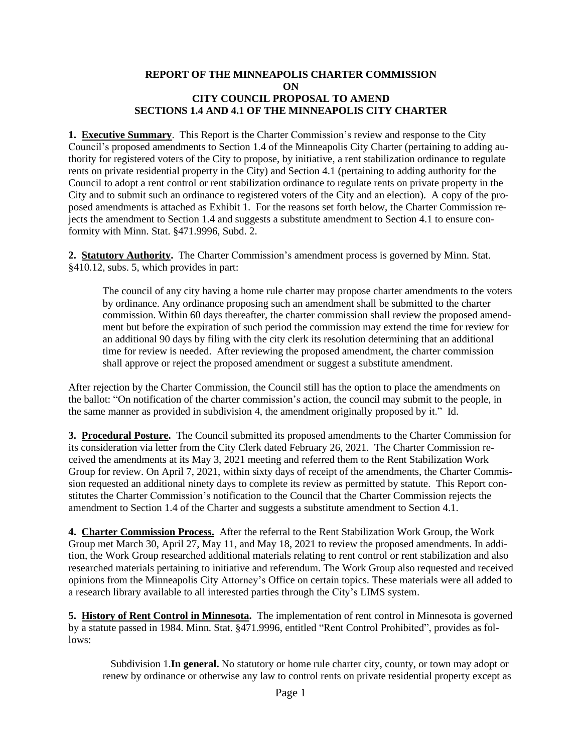#### **REPORT OF THE MINNEAPOLIS CHARTER COMMISSION ON CITY COUNCIL PROPOSAL TO AMEND SECTIONS 1.4 AND 4.1 OF THE MINNEAPOLIS CITY CHARTER**

**1. Executive Summary**. This Report is the Charter Commission's review and response to the City Council's proposed amendments to Section 1.4 of the Minneapolis City Charter (pertaining to adding authority for registered voters of the City to propose, by initiative, a rent stabilization ordinance to regulate rents on private residential property in the City) and Section 4.1 (pertaining to adding authority for the Council to adopt a rent control or rent stabilization ordinance to regulate rents on private property in the City and to submit such an ordinance to registered voters of the City and an election). A copy of the proposed amendments is attached as Exhibit 1. For the reasons set forth below, the Charter Commission rejects the amendment to Section 1.4 and suggests a substitute amendment to Section 4.1 to ensure conformity with Minn. Stat. §471.9996, Subd. 2.

**2. Statutory Authority.** The Charter Commission's amendment process is governed by Minn. Stat. §410.12, subs. 5, which provides in part:

The council of any city having a home rule charter may propose charter amendments to the voters by ordinance. Any ordinance proposing such an amendment shall be submitted to the charter commission. Within 60 days thereafter, the charter commission shall review the proposed amendment but before the expiration of such period the commission may extend the time for review for an additional 90 days by filing with the city clerk its resolution determining that an additional time for review is needed. After reviewing the proposed amendment, the charter commission shall approve or reject the proposed amendment or suggest a substitute amendment.

After rejection by the Charter Commission, the Council still has the option to place the amendments on the ballot: "On notification of the charter commission's action, the council may submit to the people, in the same manner as provided in subdivision 4, the amendment originally proposed by it." Id.

**3. Procedural Posture.** The Council submitted its proposed amendments to the Charter Commission for its consideration via letter from the City Clerk dated February 26, 2021. The Charter Commission received the amendments at its May 3, 2021 meeting and referred them to the Rent Stabilization Work Group for review. On April 7, 2021, within sixty days of receipt of the amendments, the Charter Commission requested an additional ninety days to complete its review as permitted by statute. This Report constitutes the Charter Commission's notification to the Council that the Charter Commission rejects the amendment to Section 1.4 of the Charter and suggests a substitute amendment to Section 4.1.

**4. Charter Commission Process.** After the referral to the Rent Stabilization Work Group, the Work Group met March 30, April 27, May 11, and May 18, 2021 to review the proposed amendments. In addition, the Work Group researched additional materials relating to rent control or rent stabilization and also researched materials pertaining to initiative and referendum. The Work Group also requested and received opinions from the Minneapolis City Attorney's Office on certain topics. These materials were all added to a research library available to all interested parties through the City's LIMS system.

**5. History of Rent Control in Minnesota.** The implementation of rent control in Minnesota is governed by a statute passed in 1984. Minn. Stat. §471.9996, entitled "Rent Control Prohibited", provides as follows:

 Subdivision 1.**In general.** No statutory or home rule charter city, county, or town may adopt or renew by ordinance or otherwise any law to control rents on private residential property except as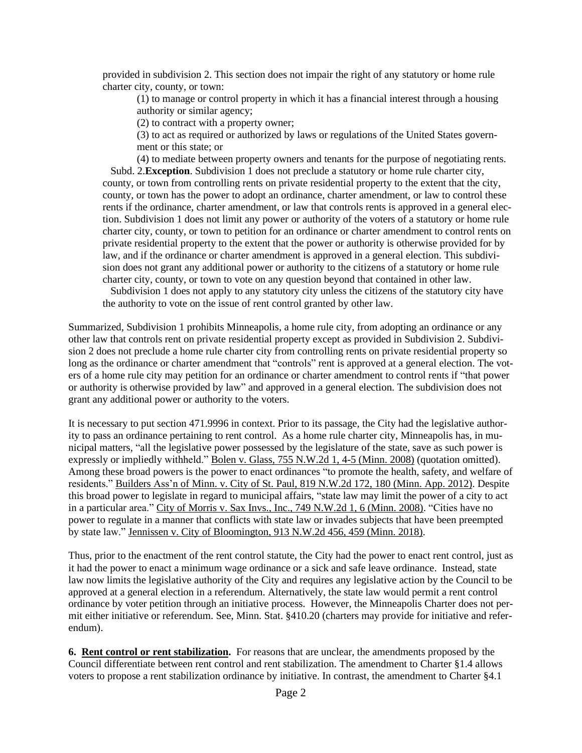provided in subdivision 2. This section does not impair the right of any statutory or home rule charter city, county, or town:

(1) to manage or control property in which it has a financial interest through a housing authority or similar agency;

(2) to contract with a property owner;

(3) to act as required or authorized by laws or regulations of the United States government or this state; or

(4) to mediate between property owners and tenants for the purpose of negotiating rents. Subd. 2.**Exception**. Subdivision 1 does not preclude a statutory or home rule charter city, county, or town from controlling rents on private residential property to the extent that the city, county, or town has the power to adopt an ordinance, charter amendment, or law to control these rents if the ordinance, charter amendment, or law that controls rents is approved in a general election. Subdivision 1 does not limit any power or authority of the voters of a statutory or home rule charter city, county, or town to petition for an ordinance or charter amendment to control rents on private residential property to the extent that the power or authority is otherwise provided for by law, and if the ordinance or charter amendment is approved in a general election. This subdivision does not grant any additional power or authority to the citizens of a statutory or home rule charter city, county, or town to vote on any question beyond that contained in other law.

 Subdivision 1 does not apply to any statutory city unless the citizens of the statutory city have the authority to vote on the issue of rent control granted by other law.

Summarized, Subdivision 1 prohibits Minneapolis, a home rule city, from adopting an ordinance or any other law that controls rent on private residential property except as provided in Subdivision 2. Subdivision 2 does not preclude a home rule charter city from controlling rents on private residential property so long as the ordinance or charter amendment that "controls" rent is approved at a general election. The voters of a home rule city may petition for an ordinance or charter amendment to control rents if "that power or authority is otherwise provided by law" and approved in a general election. The subdivision does not grant any additional power or authority to the voters.

It is necessary to put section 471.9996 in context. Prior to its passage, the City had the legislative authority to pass an ordinance pertaining to rent control. As a home rule charter city, Minneapolis has, in municipal matters, "all the legislative power possessed by the legislature of the state, save as such power is expressly or impliedly withheld." Bolen v. Glass, 755 N.W.2d 1, 4-5 (Minn. 2008) (quotation omitted). Among these broad powers is the power to enact ordinances "to promote the health, safety, and welfare of residents." Builders Ass'n of Minn. v. City of St. Paul, 819 N.W.2d 172, 180 (Minn. App. 2012). Despite this broad power to legislate in regard to municipal affairs, "state law may limit the power of a city to act in a particular area." City of Morris v. Sax Invs., Inc., 749 N.W.2d 1, 6 (Minn. 2008). "Cities have no power to regulate in a manner that conflicts with state law or invades subjects that have been preempted by state law." Jennissen v. City of Bloomington, 913 N.W.2d 456, 459 (Minn. 2018).

Thus, prior to the enactment of the rent control statute, the City had the power to enact rent control, just as it had the power to enact a minimum wage ordinance or a sick and safe leave ordinance. Instead, state law now limits the legislative authority of the City and requires any legislative action by the Council to be approved at a general election in a referendum. Alternatively, the state law would permit a rent control ordinance by voter petition through an initiative process. However, the Minneapolis Charter does not permit either initiative or referendum. See, Minn. Stat. §410.20 (charters may provide for initiative and referendum).

**6. Rent control or rent stabilization.** For reasons that are unclear, the amendments proposed by the Council differentiate between rent control and rent stabilization. The amendment to Charter §1.4 allows voters to propose a rent stabilization ordinance by initiative. In contrast, the amendment to Charter §4.1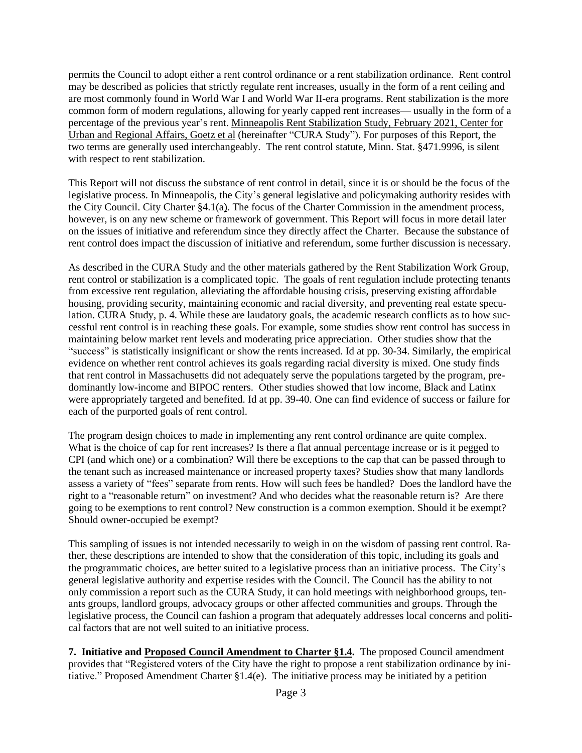permits the Council to adopt either a rent control ordinance or a rent stabilization ordinance. Rent control may be described as policies that strictly regulate rent increases, usually in the form of a rent ceiling and are most commonly found in World War I and World War II-era programs. Rent stabilization is the more common form of modern regulations, allowing for yearly capped rent increases— usually in the form of a percentage of the previous year's rent. Minneapolis Rent Stabilization Study, February 2021, Center for Urban and Regional Affairs, Goetz et al (hereinafter "CURA Study"). For purposes of this Report, the two terms are generally used interchangeably. The rent control statute, Minn. Stat. §471.9996, is silent with respect to rent stabilization.

This Report will not discuss the substance of rent control in detail, since it is or should be the focus of the legislative process. In Minneapolis, the City's general legislative and policymaking authority resides with the City Council. City Charter §4.1(a). The focus of the Charter Commission in the amendment process, however, is on any new scheme or framework of government. This Report will focus in more detail later on the issues of initiative and referendum since they directly affect the Charter. Because the substance of rent control does impact the discussion of initiative and referendum, some further discussion is necessary.

As described in the CURA Study and the other materials gathered by the Rent Stabilization Work Group, rent control or stabilization is a complicated topic. The goals of rent regulation include protecting tenants from excessive rent regulation, alleviating the affordable housing crisis, preserving existing affordable housing, providing security, maintaining economic and racial diversity, and preventing real estate speculation. CURA Study, p. 4. While these are laudatory goals, the academic research conflicts as to how successful rent control is in reaching these goals. For example, some studies show rent control has success in maintaining below market rent levels and moderating price appreciation. Other studies show that the "success" is statistically insignificant or show the rents increased. Id at pp. 30-34. Similarly, the empirical evidence on whether rent control achieves its goals regarding racial diversity is mixed. One study finds that rent control in Massachusetts did not adequately serve the populations targeted by the program, predominantly low-income and BIPOC renters. Other studies showed that low income, Black and Latinx were appropriately targeted and benefited. Id at pp. 39-40. One can find evidence of success or failure for each of the purported goals of rent control.

The program design choices to made in implementing any rent control ordinance are quite complex. What is the choice of cap for rent increases? Is there a flat annual percentage increase or is it pegged to CPI (and which one) or a combination? Will there be exceptions to the cap that can be passed through to the tenant such as increased maintenance or increased property taxes? Studies show that many landlords assess a variety of "fees" separate from rents. How will such fees be handled? Does the landlord have the right to a "reasonable return" on investment? And who decides what the reasonable return is? Are there going to be exemptions to rent control? New construction is a common exemption. Should it be exempt? Should owner-occupied be exempt?

This sampling of issues is not intended necessarily to weigh in on the wisdom of passing rent control. Rather, these descriptions are intended to show that the consideration of this topic, including its goals and the programmatic choices, are better suited to a legislative process than an initiative process. The City's general legislative authority and expertise resides with the Council. The Council has the ability to not only commission a report such as the CURA Study, it can hold meetings with neighborhood groups, tenants groups, landlord groups, advocacy groups or other affected communities and groups. Through the legislative process, the Council can fashion a program that adequately addresses local concerns and political factors that are not well suited to an initiative process.

**7. Initiative and Proposed Council Amendment to Charter §1.4.** The proposed Council amendment provides that "Registered voters of the City have the right to propose a rent stabilization ordinance by initiative." Proposed Amendment Charter §1.4(e). The initiative process may be initiated by a petition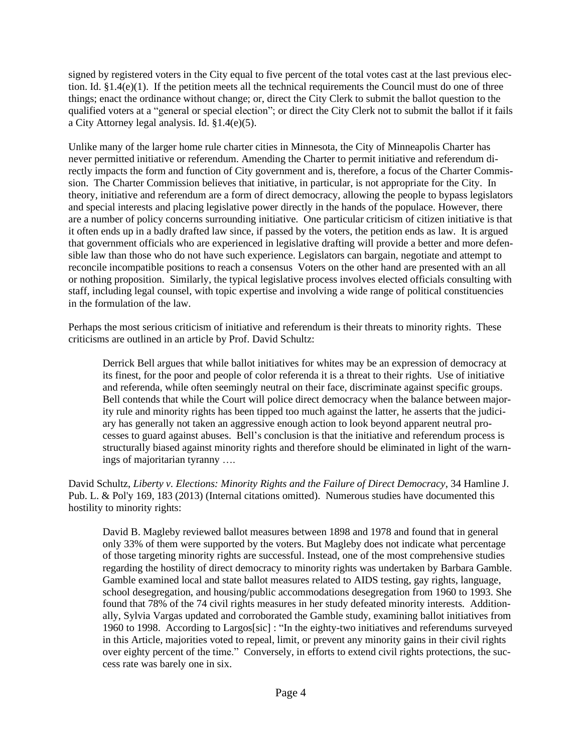signed by registered voters in the City equal to five percent of the total votes cast at the last previous election. Id. §1.4(e)(1). If the petition meets all the technical requirements the Council must do one of three things; enact the ordinance without change; or, direct the City Clerk to submit the ballot question to the qualified voters at a "general or special election"; or direct the City Clerk not to submit the ballot if it fails a City Attorney legal analysis. Id. §1.4(e)(5).

Unlike many of the larger home rule charter cities in Minnesota, the City of Minneapolis Charter has never permitted initiative or referendum. Amending the Charter to permit initiative and referendum directly impacts the form and function of City government and is, therefore, a focus of the Charter Commission. The Charter Commission believes that initiative, in particular, is not appropriate for the City. In theory, initiative and referendum are a form of direct democracy, allowing the people to bypass legislators and special interests and placing legislative power directly in the hands of the populace. However, there are a number of policy concerns surrounding initiative. One particular criticism of citizen initiative is that it often ends up in a badly drafted law since, if passed by the voters, the petition ends as law. It is argued that government officials who are experienced in legislative drafting will provide a better and more defensible law than those who do not have such experience. Legislators can bargain, negotiate and attempt to reconcile incompatible positions to reach a consensus Voters on the other hand are presented with an all or nothing proposition. Similarly, the typical legislative process involves elected officials consulting with staff, including legal counsel, with topic expertise and involving a wide range of political constituencies in the formulation of the law.

Perhaps the most serious criticism of initiative and referendum is their threats to minority rights. These criticisms are outlined in an article by Prof. David Schultz:

Derrick Bell argues that while ballot initiatives for whites may be an expression of democracy at its finest, for the poor and people of color referenda it is a threat to their rights. Use of initiative and referenda, while often seemingly neutral on their face, discriminate against specific groups. Bell contends that while the Court will police direct democracy when the balance between majority rule and minority rights has been tipped too much against the latter, he asserts that the judiciary has generally not taken an aggressive enough action to look beyond apparent neutral processes to guard against abuses. Bell's conclusion is that the initiative and referendum process is structurally biased against minority rights and therefore should be eliminated in light of the warnings of majoritarian tyranny ….

David Schultz, *Liberty v. Elections: Minority Rights and the Failure of Direct Democracy*, 34 Hamline J. Pub. L. & Pol'y 169, 183 (2013) (Internal citations omitted). Numerous studies have documented this hostility to minority rights:

David B. Magleby reviewed ballot measures between 1898 and 1978 and found that in general only 33% of them were supported by the voters. But Magleby does not indicate what percentage of those targeting minority rights are successful. Instead, one of the most comprehensive studies regarding the hostility of direct democracy to minority rights was undertaken by Barbara Gamble. Gamble examined local and state ballot measures related to AIDS testing, gay rights, language, school desegregation, and housing/public accommodations desegregation from 1960 to 1993. She found that 78% of the 74 civil rights measures in her study defeated minority interests. Additionally, Sylvia Vargas updated and corroborated the Gamble study, examining ballot initiatives from 1960 to 1998. According to Largos[sic] : "In the eighty-two initiatives and referendums surveyed in this Article, majorities voted to repeal, limit, or prevent any minority gains in their civil rights over eighty percent of the time." Conversely, in efforts to extend civil rights protections, the success rate was barely one in six.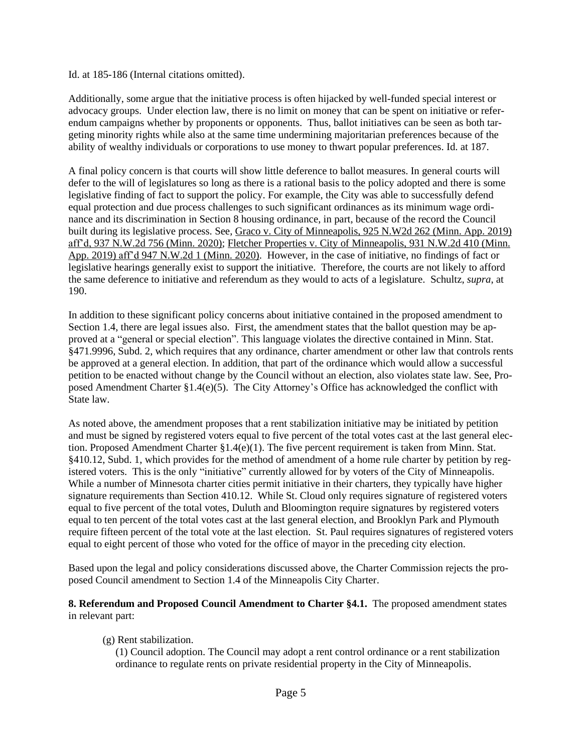Id. at 185-186 (Internal citations omitted).

Additionally, some argue that the initiative process is often hijacked by well-funded special interest or advocacy groups. Under election law, there is no limit on money that can be spent on initiative or referendum campaigns whether by proponents or opponents. Thus, ballot initiatives can be seen as both targeting minority rights while also at the same time undermining majoritarian preferences because of the ability of wealthy individuals or corporations to use money to thwart popular preferences. Id. at 187.

A final policy concern is that courts will show little deference to ballot measures. In general courts will defer to the will of legislatures so long as there is a rational basis to the policy adopted and there is some legislative finding of fact to support the policy. For example, the City was able to successfully defend equal protection and due process challenges to such significant ordinances as its minimum wage ordinance and its discrimination in Section 8 housing ordinance, in part, because of the record the Council built during its legislative process. See, Graco v. City of Minneapolis, 925 N.W2d 262 (Minn. App. 2019) aff'd, 937 N.W.2d 756 (Minn. 2020); Fletcher Properties v. City of Minneapolis, 931 N.W.2d 410 (Minn. App. 2019) aff'd 947 N.W.2d 1 (Minn. 2020). However, in the case of initiative, no findings of fact or legislative hearings generally exist to support the initiative. Therefore, the courts are not likely to afford the same deference to initiative and referendum as they would to acts of a legislature. Schultz, *supra*, at 190.

In addition to these significant policy concerns about initiative contained in the proposed amendment to Section 1.4, there are legal issues also. First, the amendment states that the ballot question may be approved at a "general or special election". This language violates the directive contained in Minn. Stat. §471.9996, Subd. 2, which requires that any ordinance, charter amendment or other law that controls rents be approved at a general election. In addition, that part of the ordinance which would allow a successful petition to be enacted without change by the Council without an election, also violates state law. See, Proposed Amendment Charter §1.4(e)(5). The City Attorney's Office has acknowledged the conflict with State law.

As noted above, the amendment proposes that a rent stabilization initiative may be initiated by petition and must be signed by registered voters equal to five percent of the total votes cast at the last general election. Proposed Amendment Charter §1.4(e)(1). The five percent requirement is taken from Minn. Stat. §410.12, Subd. 1, which provides for the method of amendment of a home rule charter by petition by registered voters. This is the only "initiative" currently allowed for by voters of the City of Minneapolis. While a number of Minnesota charter cities permit initiative in their charters, they typically have higher signature requirements than Section 410.12. While St. Cloud only requires signature of registered voters equal to five percent of the total votes, Duluth and Bloomington require signatures by registered voters equal to ten percent of the total votes cast at the last general election, and Brooklyn Park and Plymouth require fifteen percent of the total vote at the last election. St. Paul requires signatures of registered voters equal to eight percent of those who voted for the office of mayor in the preceding city election.

Based upon the legal and policy considerations discussed above, the Charter Commission rejects the proposed Council amendment to Section 1.4 of the Minneapolis City Charter.

**8. Referendum and Proposed Council Amendment to Charter §4.1.** The proposed amendment states in relevant part:

(g) Rent stabilization.

(1) Council adoption. The Council may adopt a rent control ordinance or a rent stabilization ordinance to regulate rents on private residential property in the City of Minneapolis.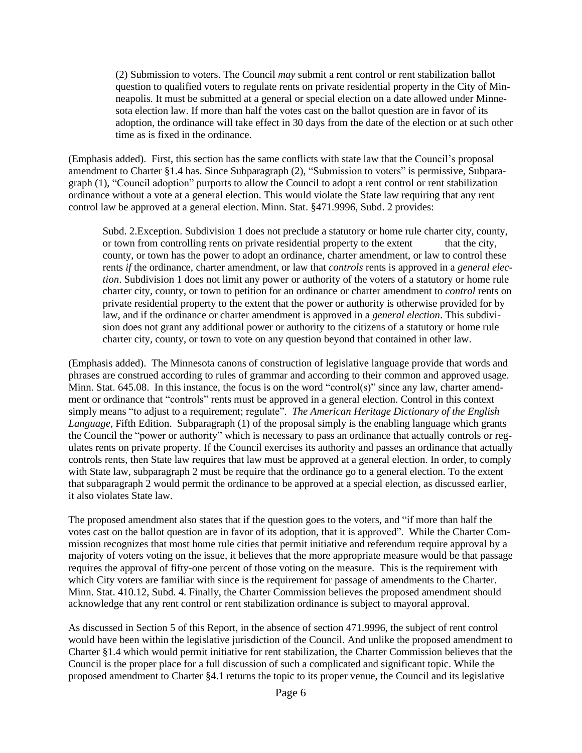(2) Submission to voters. The Council *may* submit a rent control or rent stabilization ballot question to qualified voters to regulate rents on private residential property in the City of Minneapolis. It must be submitted at a general or special election on a date allowed under Minnesota election law. If more than half the votes cast on the ballot question are in favor of its adoption, the ordinance will take effect in 30 days from the date of the election or at such other time as is fixed in the ordinance.

(Emphasis added). First, this section has the same conflicts with state law that the Council's proposal amendment to Charter §1.4 has. Since Subparagraph (2), "Submission to voters" is permissive, Subparagraph (1), "Council adoption" purports to allow the Council to adopt a rent control or rent stabilization ordinance without a vote at a general election. This would violate the State law requiring that any rent control law be approved at a general election. Minn. Stat. §471.9996, Subd. 2 provides:

Subd. 2.Exception. Subdivision 1 does not preclude a statutory or home rule charter city, county, or town from controlling rents on private residential property to the extent that the city, county, or town has the power to adopt an ordinance, charter amendment, or law to control these rents *if* the ordinance, charter amendment, or law that *controls* rents is approved in a *general election*. Subdivision 1 does not limit any power or authority of the voters of a statutory or home rule charter city, county, or town to petition for an ordinance or charter amendment to *control* rents on private residential property to the extent that the power or authority is otherwise provided for by law, and if the ordinance or charter amendment is approved in a *general election*. This subdivision does not grant any additional power or authority to the citizens of a statutory or home rule charter city, county, or town to vote on any question beyond that contained in other law.

(Emphasis added). The Minnesota canons of construction of legislative language provide that words and phrases are construed according to rules of grammar and according to their common and approved usage. Minn. Stat. 645.08. In this instance, the focus is on the word "control(s)" since any law, charter amendment or ordinance that "controls" rents must be approved in a general election. Control in this context simply means "to adjust to a requirement; regulate". *The American Heritage Dictionary of the English Language,* Fifth Edition. Subparagraph (1) of the proposal simply is the enabling language which grants the Council the "power or authority" which is necessary to pass an ordinance that actually controls or regulates rents on private property. If the Council exercises its authority and passes an ordinance that actually controls rents, then State law requires that law must be approved at a general election. In order, to comply with State law, subparagraph 2 must be require that the ordinance go to a general election. To the extent that subparagraph 2 would permit the ordinance to be approved at a special election, as discussed earlier, it also violates State law.

The proposed amendment also states that if the question goes to the voters, and "if more than half the votes cast on the ballot question are in favor of its adoption, that it is approved". While the Charter Commission recognizes that most home rule cities that permit initiative and referendum require approval by a majority of voters voting on the issue, it believes that the more appropriate measure would be that passage requires the approval of fifty-one percent of those voting on the measure. This is the requirement with which City voters are familiar with since is the requirement for passage of amendments to the Charter. Minn. Stat. 410.12, Subd. 4. Finally, the Charter Commission believes the proposed amendment should acknowledge that any rent control or rent stabilization ordinance is subject to mayoral approval.

As discussed in Section 5 of this Report, in the absence of section 471.9996, the subject of rent control would have been within the legislative jurisdiction of the Council. And unlike the proposed amendment to Charter §1.4 which would permit initiative for rent stabilization, the Charter Commission believes that the Council is the proper place for a full discussion of such a complicated and significant topic. While the proposed amendment to Charter §4.1 returns the topic to its proper venue, the Council and its legislative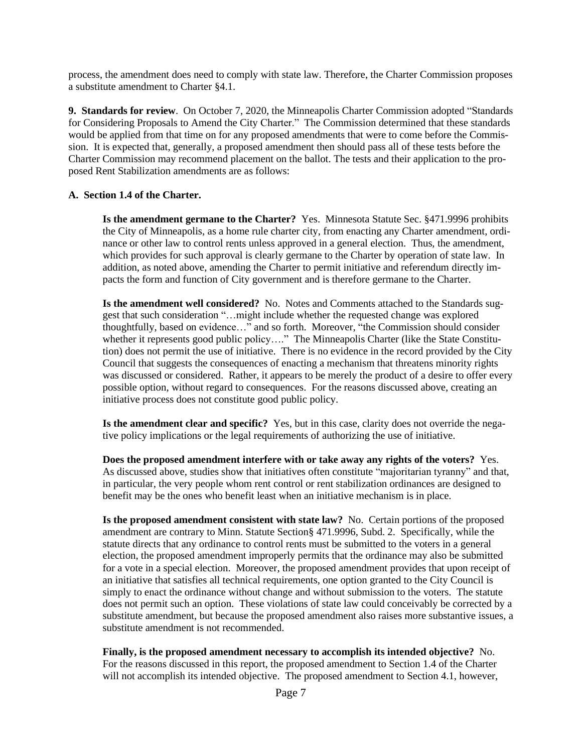process, the amendment does need to comply with state law. Therefore, the Charter Commission proposes a substitute amendment to Charter §4.1.

**9. Standards for review**. On October 7, 2020, the Minneapolis Charter Commission adopted "Standards for Considering Proposals to Amend the City Charter." The Commission determined that these standards would be applied from that time on for any proposed amendments that were to come before the Commission. It is expected that, generally, a proposed amendment then should pass all of these tests before the Charter Commission may recommend placement on the ballot. The tests and their application to the proposed Rent Stabilization amendments are as follows:

## **A. Section 1.4 of the Charter.**

**Is the amendment germane to the Charter?** Yes. Minnesota Statute Sec. §471.9996 prohibits the City of Minneapolis, as a home rule charter city, from enacting any Charter amendment, ordinance or other law to control rents unless approved in a general election. Thus, the amendment, which provides for such approval is clearly germane to the Charter by operation of state law. In addition, as noted above, amending the Charter to permit initiative and referendum directly impacts the form and function of City government and is therefore germane to the Charter.

**Is the amendment well considered?** No. Notes and Comments attached to the Standards suggest that such consideration "…might include whether the requested change was explored thoughtfully, based on evidence…" and so forth. Moreover, "the Commission should consider whether it represents good public policy...." The Minneapolis Charter (like the State Constitution) does not permit the use of initiative. There is no evidence in the record provided by the City Council that suggests the consequences of enacting a mechanism that threatens minority rights was discussed or considered. Rather, it appears to be merely the product of a desire to offer every possible option, without regard to consequences. For the reasons discussed above, creating an initiative process does not constitute good public policy.

**Is the amendment clear and specific?** Yes, but in this case, clarity does not override the negative policy implications or the legal requirements of authorizing the use of initiative.

**Does the proposed amendment interfere with or take away any rights of the voters?** Yes. As discussed above, studies show that initiatives often constitute "majoritarian tyranny" and that, in particular, the very people whom rent control or rent stabilization ordinances are designed to benefit may be the ones who benefit least when an initiative mechanism is in place.

**Is the proposed amendment consistent with state law?** No. Certain portions of the proposed amendment are contrary to Minn. Statute Section§ 471.9996, Subd. 2. Specifically, while the statute directs that any ordinance to control rents must be submitted to the voters in a general election, the proposed amendment improperly permits that the ordinance may also be submitted for a vote in a special election. Moreover, the proposed amendment provides that upon receipt of an initiative that satisfies all technical requirements, one option granted to the City Council is simply to enact the ordinance without change and without submission to the voters. The statute does not permit such an option. These violations of state law could conceivably be corrected by a substitute amendment, but because the proposed amendment also raises more substantive issues, a substitute amendment is not recommended.

**Finally, is the proposed amendment necessary to accomplish its intended objective?** No. For the reasons discussed in this report, the proposed amendment to Section 1.4 of the Charter will not accomplish its intended objective. The proposed amendment to Section 4.1, however,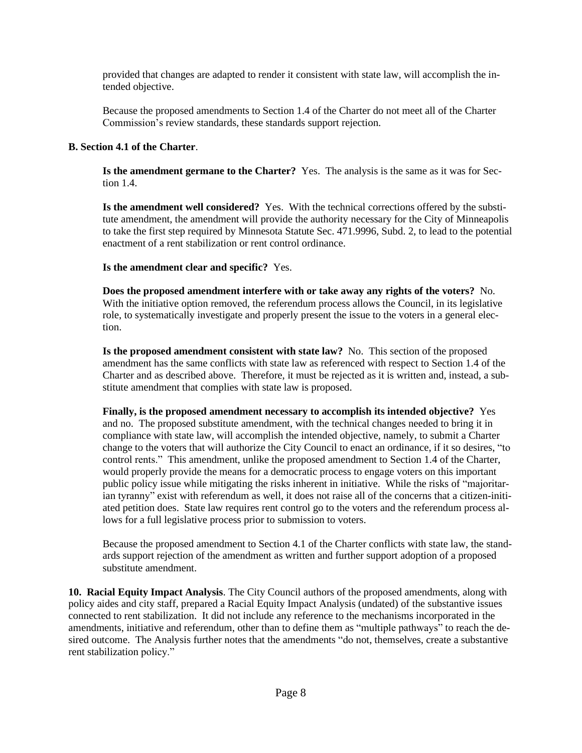provided that changes are adapted to render it consistent with state law, will accomplish the intended objective.

Because the proposed amendments to Section 1.4 of the Charter do not meet all of the Charter Commission's review standards, these standards support rejection.

## **B. Section 4.1 of the Charter**.

**Is the amendment germane to the Charter?** Yes. The analysis is the same as it was for Section 1.4.

**Is the amendment well considered?** Yes. With the technical corrections offered by the substitute amendment, the amendment will provide the authority necessary for the City of Minneapolis to take the first step required by Minnesota Statute Sec. 471.9996, Subd. 2, to lead to the potential enactment of a rent stabilization or rent control ordinance.

### **Is the amendment clear and specific?** Yes.

**Does the proposed amendment interfere with or take away any rights of the voters?** No. With the initiative option removed, the referendum process allows the Council, in its legislative role, to systematically investigate and properly present the issue to the voters in a general election.

**Is the proposed amendment consistent with state law?** No. This section of the proposed amendment has the same conflicts with state law as referenced with respect to Section 1.4 of the Charter and as described above. Therefore, it must be rejected as it is written and, instead, a substitute amendment that complies with state law is proposed.

**Finally, is the proposed amendment necessary to accomplish its intended objective?** Yes and no. The proposed substitute amendment, with the technical changes needed to bring it in compliance with state law, will accomplish the intended objective, namely, to submit a Charter change to the voters that will authorize the City Council to enact an ordinance, if it so desires, "to control rents." This amendment, unlike the proposed amendment to Section 1.4 of the Charter, would properly provide the means for a democratic process to engage voters on this important public policy issue while mitigating the risks inherent in initiative. While the risks of "majoritarian tyranny" exist with referendum as well, it does not raise all of the concerns that a citizen-initiated petition does. State law requires rent control go to the voters and the referendum process allows for a full legislative process prior to submission to voters.

Because the proposed amendment to Section 4.1 of the Charter conflicts with state law, the standards support rejection of the amendment as written and further support adoption of a proposed substitute amendment.

**10. Racial Equity Impact Analysis**. The City Council authors of the proposed amendments, along with policy aides and city staff, prepared a Racial Equity Impact Analysis (undated) of the substantive issues connected to rent stabilization. It did not include any reference to the mechanisms incorporated in the amendments, initiative and referendum, other than to define them as "multiple pathways" to reach the desired outcome. The Analysis further notes that the amendments "do not, themselves, create a substantive rent stabilization policy."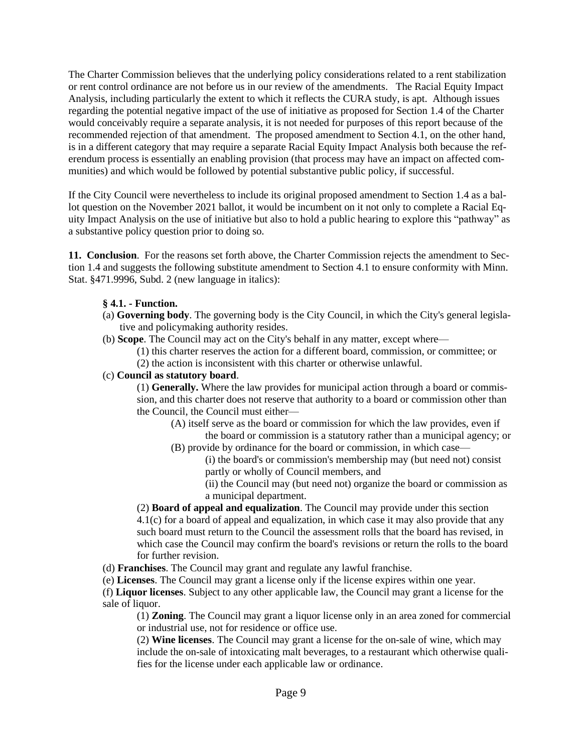The Charter Commission believes that the underlying policy considerations related to a rent stabilization or rent control ordinance are not before us in our review of the amendments. The Racial Equity Impact Analysis, including particularly the extent to which it reflects the CURA study, is apt. Although issues regarding the potential negative impact of the use of initiative as proposed for Section 1.4 of the Charter would conceivably require a separate analysis, it is not needed for purposes of this report because of the recommended rejection of that amendment. The proposed amendment to Section 4.1, on the other hand, is in a different category that may require a separate Racial Equity Impact Analysis both because the referendum process is essentially an enabling provision (that process may have an impact on affected communities) and which would be followed by potential substantive public policy, if successful.

If the City Council were nevertheless to include its original proposed amendment to Section 1.4 as a ballot question on the November 2021 ballot, it would be incumbent on it not only to complete a Racial Equity Impact Analysis on the use of initiative but also to hold a public hearing to explore this "pathway" as a substantive policy question prior to doing so.

**11. Conclusion**. For the reasons set forth above, the Charter Commission rejects the amendment to Section 1.4 and suggests the following substitute amendment to Section 4.1 to ensure conformity with Minn. Stat. §471.9996, Subd. 2 (new language in italics):

## **§ 4.1. - Function.**

- (a) **Governing body**. The governing body is the City Council, in which the City's general legislative and policymaking authority resides.
- (b) **Scope**. The Council may act on the City's behalf in any matter, except where—
	- (1) this charter reserves the action for a different board, commission, or committee; or (2) the action is inconsistent with this charter or otherwise unlawful.

## (c) **Council as statutory board**.

(1) **Generally.** Where the law provides for municipal action through a board or commission, and this charter does not reserve that authority to a board or commission other than the Council, the Council must either—

- (A) itself serve as the board or commission for which the law provides, even if the board or commission is a statutory rather than a municipal agency; or
- (B) provide by ordinance for the board or commission, in which case—
	- (i) the board's or commission's membership may (but need not) consist partly or wholly of Council members, and
	- (ii) the Council may (but need not) organize the board or commission as a municipal department.

(2) **Board of appeal and equalization**. The Council may provide under this section 4.1(c) for a board of appeal and equalization, in which case it may also provide that any such board must return to the Council the assessment rolls that the board has revised, in which case the Council may confirm the board's revisions or return the rolls to the board for further revision.

- (d) **Franchises**. The Council may grant and regulate any lawful franchise.
- (e) **Licenses**. The Council may grant a license only if the license expires within one year.

(f) **Liquor licenses**. Subject to any other applicable law, the Council may grant a license for the sale of liquor.

(1) **Zoning**. The Council may grant a liquor license only in an area zoned for commercial or industrial use, not for residence or office use.

(2) **Wine licenses**. The Council may grant a license for the on-sale of wine, which may include the on-sale of intoxicating malt beverages, to a restaurant which otherwise qualifies for the license under each applicable law or ordinance.